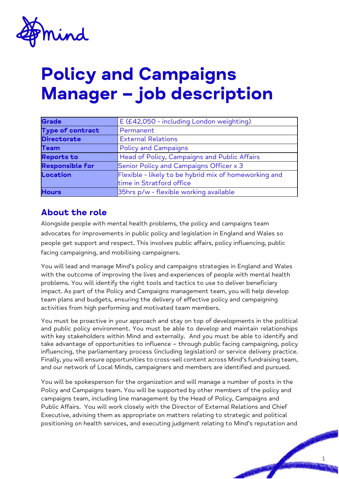

# **Policy and Campaigns Manager – job description**

| <b>Grade</b>            | E (£42,050 - including London weighting)              |
|-------------------------|-------------------------------------------------------|
| <b>Type of contract</b> | Permanent                                             |
| <b>Directorate</b>      | <b>External Relations</b>                             |
| <b>Team</b>             | <b>Policy and Campaigns</b>                           |
| <b>Reports to</b>       | Head of Policy, Campaigns and Public Affairs          |
| <b>Responsible for</b>  | Senior Policy and Campaigns Officer x 3               |
| Location                | Flexible - likely to be hybrid mix of homeworking and |
|                         | time in Stratford office                              |
| <b>Hours</b>            | 35hrs p/w - flexible working available                |

#### **About the role**

Alongside people with mental health problems, the policy and campaigns team advocates for improvements in public policy and legislation in England and Wales so people get support and respect. This involves public affairs, policy influencing, public facing campaigning, and mobilising campaigners.

You will lead and manage Mind's policy and campaigns strategies in England and Wales with the outcome of improving the lives and experiences of people with mental health problems. You will identify the right tools and tactics to use to deliver beneficiary impact. As part of the Policy and Campaigns management team, you will help develop team plans and budgets, ensuring the delivery of effective policy and campaigning activities from high performing and motivated team members.

You must be proactive in your approach and stay on top of developments in the political and public policy environment. You must be able to develop and maintain relationships with key stakeholders within Mind and externally. And you must be able to identify and take advantage of opportunities to influence – through public facing campaigning, policy influencing, the parliamentary process (including legislation) or service delivery practice. Finally, you will ensure opportunities to cross-sell content across Mind's fundraising team, and our network of Local Minds, campaigners and members are identified and pursued.

You will be spokesperson for the organization and will manage a number of posts in the Policy and Campaigns team. You will be supported by other members of the policy and campaigns team, including line management by the Head of Policy, Campaigns and Public Affairs. You will work closely with the Director of External Relations and Chief Executive, advising them as appropriate on matters relating to strategic and political positioning on health services, and executing judgment relating to Mind's reputation and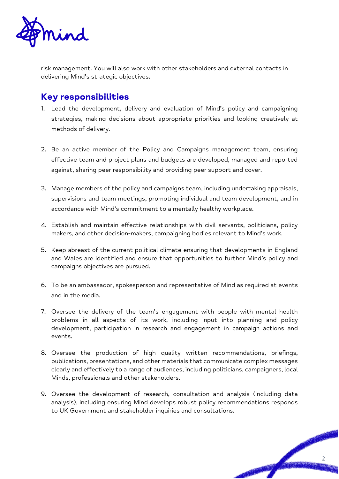

risk management. You will also work with other stakeholders and external contacts in delivering Mind's strategic objectives.

## **Key responsibilities**

- 1. Lead the development, delivery and evaluation of Mind's policy and campaigning strategies, making decisions about appropriate priorities and looking creatively at methods of delivery.
- 2. Be an active member of the Policy and Campaigns management team, ensuring effective team and project plans and budgets are developed, managed and reported against, sharing peer responsibility and providing peer support and cover.
- 3. Manage members of the policy and campaigns team, including undertaking appraisals, supervisions and team meetings, promoting individual and team development, and in accordance with Mind's commitment to a mentally healthy workplace.
- 4. Establish and maintain effective relationships with civil servants, politicians, policy makers, and other decision-makers, campaigning bodies relevant to Mind's work.
- 5. Keep abreast of the current political climate ensuring that developments in England and Wales are identified and ensure that opportunities to further Mind's policy and campaigns objectives are pursued.
- 6. To be an ambassador, spokesperson and representative of Mind as required at events and in the media.
- 7. Oversee the delivery of the team's engagement with people with mental health problems in all aspects of its work, including input into planning and policy development, participation in research and engagement in campaign actions and events.
- 8. Oversee the production of high quality written recommendations, briefings, publications, presentations, and other materials that communicate complex messages clearly and effectively to a range of audiences, including politicians, campaigners, local Minds, professionals and other stakeholders.
- 9. Oversee the development of research, consultation and analysis (including data analysis), including ensuring Mind develops robust policy recommendations responds to UK Government and stakeholder inquiries and consultations.

2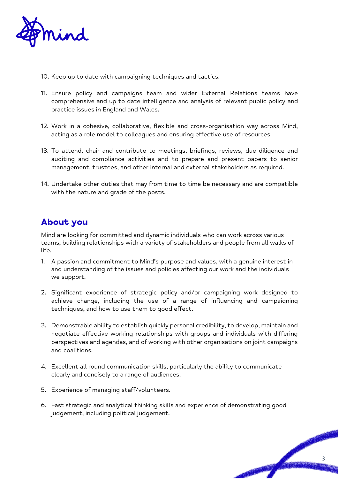

- 10. Keep up to date with campaigning techniques and tactics.
- 11. Ensure policy and campaigns team and wider External Relations teams have comprehensive and up to date intelligence and analysis of relevant public policy and practice issues in England and Wales.
- 12. Work in a cohesive, collaborative, flexible and cross-organisation way across Mind, acting as a role model to colleagues and ensuring effective use of resources
- 13. To attend, chair and contribute to meetings, briefings, reviews, due diligence and auditing and compliance activities and to prepare and present papers to senior management, trustees, and other internal and external stakeholders as required.
- 14. Undertake other duties that may from time to time be necessary and are compatible with the nature and grade of the posts.

### **About you**

Mind are looking for committed and dynamic individuals who can work across various teams, building relationships with a variety of stakeholders and people from all walks of life.

- 1. A passion and commitment to Mind's purpose and values, with a genuine interest in and understanding of the issues and policies affecting our work and the individuals we support.
- 2. Significant experience of strategic policy and/or campaigning work designed to achieve change, including the use of a range of influencing and campaigning techniques, and how to use them to good effect.
- 3. Demonstrable ability to establish quickly personal credibility, to develop, maintain and negotiate effective working relationships with groups and individuals with differing perspectives and agendas, and of working with other organisations on joint campaigns and coalitions.
- 4. Excellent all round communication skills, particularly the ability to communicate clearly and concisely to a range of audiences.
- 5. Experience of managing staff/volunteers.
- 6. Fast strategic and analytical thinking skills and experience of demonstrating good judgement, including political judgement.